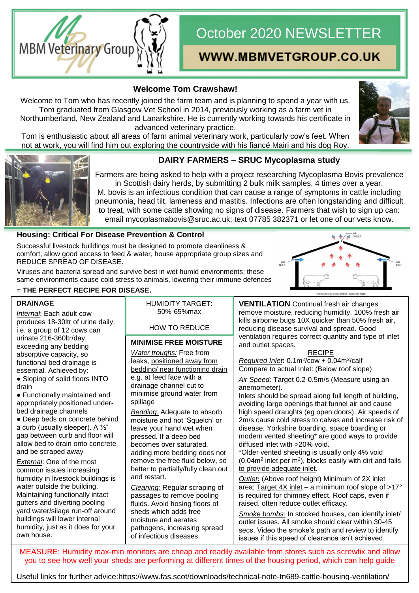# October 2020 NEWSLETTER

# **MBM Veterinary Group**

## WWW.MBMVETGROUP.CO.UK

### **Welcome Tom Crawshaw!**

Welcome to Tom who has recently joined the farm team and is planning to spend a year with us. Tom graduated from Glasgow Vet School in 2014, previously working as a farm vet in Northumberland, New Zealand and Lanarkshire. He is currently working towards his certificate in advanced veterinary practice.

Tom is enthusiastic about all areas of farm animal veterinary work, particularly cow's feet. When not at work, you will find him out exploring the countryside with his fiancé Mairi and his dog Roy.





#### **DAIRY FARMERS – SRUC Mycoplasma study**

Farmers are being asked to help with a project researching Mycoplasma Bovis prevalence in Scottish dairy herds, by submitting 2 bulk milk samples, 4 times over a year. M. bovis is an infectious condition that can cause a range of symptoms in cattle including pneumonia, head tilt, lameness and mastitis. Infections are often longstanding and difficult to treat, with some cattle showing no signs of disease. Farmers that wish to sign up can: email mycoplasmabovis@sruc.ac.uk; text 07785 382371 or let one of our vets know.

#### **Housing: Critical For Disease Prevention & Control**

Successful livestock buildings must be designed to promote cleanliness & comfort, allow good access to feed & water, house appropriate group sizes and REDUCE SPREAD OF DISEASE.

Viruses and bacteria spread and survive best in wet humid environments; these same environments cause cold stress to animals, lowering their immune defences = **THE PERFECT RECIPE FOR DISEASE.**



#### **DRAINAGE**

*Internal*: Each adult cow produces 18-30ltr of urine daily, i.e. a group of 12 cows can urinate 216-360ltr/day, exceeding any bedding absorptive capacity, so functional bed drainage is essential. Achieved by:

● Sloping of solid floors INTO drain

● Functionally maintained and appropriately positioned underbed drainage channels

• Deep beds on concrete behind a curb (usually sleeper). A ½" gap between curb and floor will allow bed to drain onto concrete and be scraped away

*External*: One of the most common issues increasing humidity in livestock buildings is water outside the building. Maintaining functionally intact gutters and diverting pooling yard water/silage run-off around buildings will lower internal humidity, just as it does for your own house.

HUMIDITY TARGET: 50%-65%max

#### HOW TO REDUCE

#### **MINIMISE FREE MOISTURE** Humidity of the control of the control of the control of the control of the control of the control of the control of the control of the control of the control of the control of the control of the control of the control of

*Water troughs:* Free from leaks, positioned away from bedding/ near functioning drain e.g. at feed face with a drainage channel cut to minimise ground water from spillage

*Bedding:* Adequate to absorb moisture and not 'Squelch' or leave your hand wet when pressed. If a deep bed becomes over saturated, adding more bedding does not remove the free fluid below, so better to partially/fully clean out and restart.

*Cleaning:* Regular scraping of passages to remove pooling fluids. Avoid hosing floors of sheds which adds free moisture and aerates pathogens, increasing spread of infectious diseases.

**VENTILATION** Continual fresh air changes remove moisture, reducing humidity. 100% fresh air kills airborne bugs 10X quicker than 50% fresh air, reducing disease survival and spread. Good ventilation requires correct quantity and type of inlet and outlet spaces.

#### RECIPE

*Required Inlet***:** 0.1m<sup>2</sup> /cow + 0.04m<sup>2</sup> /calf Compare to actual Inlet: (Below roof slope)

*Air Speed:* Target 0.2-0.5m/s (Measure using an anemometer).

Inlets should be spread along full length of building, avoiding large openings that funnel air and cause high speed draughts (eg open doors). Air speeds of 2m/s cause cold stress to calves and increase risk of disease. Yorkshire boarding, space boarding or modern vented sheeting\* are good ways to provide diffused inlet with >20% void.

\*Older vented sheeting is usually only 4% void  $(0.04m<sup>2</sup>$  inlet per m<sup>2</sup>), blocks easily with dirt and  $fails$ </u> to provide adequate inlet.

*Outlet***:** (Above roof height) Minimum of 2X inlet area; Target  $4X$  inlet – a minimum roof slope of  $>17^{\circ}$ is required for chimney effect. Roof caps, even if raised, often reduce outlet efficacy.

*Smoke bombs:* In stocked houses, can identify inlet/ outlet issues. All smoke should clear within 30-45 secs. Video the smoke's path and review to identify issues if this speed of clearance isn't achieved.

MEASURE: Humidity max-min monitors are cheap and readily available from stores such as screwfix and allow you to see how well your sheds are performing at different times of the housing period, which can help guide

housing changes. Useful links for further advice[:https://www.fas.scot/downloads/technical-note-tn689-cattle-housing-ventilation/](https://www.fas.scot/downloads/technical-note-tn689-cattle-housing-ventilation/)